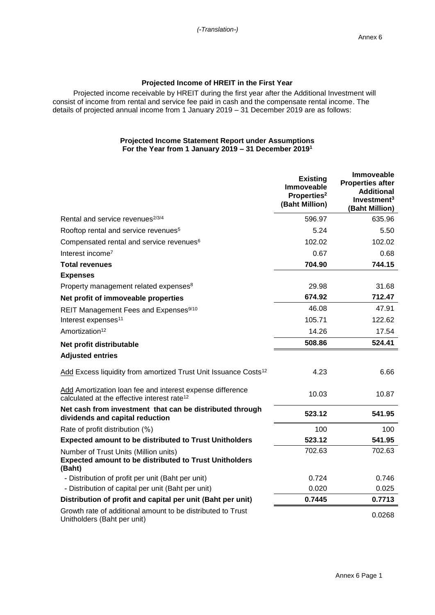## **Projected Income of HREIT in the First Year**

Projected income receivable by HREIT during the first year after the Additional Investment will consist of income from rental and service fee paid in cash and the compensate rental income. The details of projected annual income from 1 January 2019 – 31 December 2019 are as follows:

## **Projected Income Statement Report under Assumptions For the Year from 1 January 2019 – 31 December 2019<sup>1</sup>**

|                                                                                                                      | <b>Existing</b><br><b>Immoveable</b><br>Properties <sup>2</sup><br>(Baht Million) | <b>Immoveable</b><br><b>Properties after</b><br><b>Additional</b><br>Investment $3$<br>(Baht Million) |
|----------------------------------------------------------------------------------------------------------------------|-----------------------------------------------------------------------------------|-------------------------------------------------------------------------------------------------------|
| Rental and service revenues <sup>2/3/4</sup>                                                                         | 596.97                                                                            | 635.96                                                                                                |
| Rooftop rental and service revenues <sup>5</sup>                                                                     | 5.24                                                                              | 5.50                                                                                                  |
| Compensated rental and service revenues <sup>6</sup>                                                                 | 102.02                                                                            | 102.02                                                                                                |
| Interest income <sup>7</sup>                                                                                         | 0.67                                                                              | 0.68                                                                                                  |
| <b>Total revenues</b>                                                                                                | 704.90                                                                            | 744.15                                                                                                |
| <b>Expenses</b>                                                                                                      |                                                                                   |                                                                                                       |
| Property management related expenses <sup>8</sup>                                                                    | 29.98                                                                             | 31.68                                                                                                 |
| Net profit of immoveable properties                                                                                  | 674.92                                                                            | 712.47                                                                                                |
| REIT Management Fees and Expenses <sup>9/10</sup>                                                                    | 46.08                                                                             | 47.91                                                                                                 |
| Interest expenses <sup>11</sup>                                                                                      | 105.71                                                                            | 122.62                                                                                                |
| Amortization <sup>12</sup>                                                                                           | 14.26                                                                             | 17.54                                                                                                 |
| Net profit distributable                                                                                             | 508.86                                                                            | 524.41                                                                                                |
| <b>Adjusted entries</b>                                                                                              |                                                                                   |                                                                                                       |
| Add Excess liquidity from amortized Trust Unit Issuance Costs <sup>12</sup>                                          | 4.23                                                                              | 6.66                                                                                                  |
| Add Amortization loan fee and interest expense difference<br>calculated at the effective interest rate <sup>12</sup> | 10.03                                                                             | 10.87                                                                                                 |
| Net cash from investment that can be distributed through<br>dividends and capital reduction                          | 523.12                                                                            | 541.95                                                                                                |
| Rate of profit distribution (%)                                                                                      | 100                                                                               | 100                                                                                                   |
| <b>Expected amount to be distributed to Trust Unitholders</b>                                                        | 523.12                                                                            | 541.95                                                                                                |
| Number of Trust Units (Million units)<br><b>Expected amount to be distributed to Trust Unitholders</b><br>(Baht)     | 702.63                                                                            | 702.63                                                                                                |
| - Distribution of profit per unit (Baht per unit)                                                                    | 0.724                                                                             | 0.746                                                                                                 |
| - Distribution of capital per unit (Baht per unit)                                                                   | 0.020                                                                             | 0.025                                                                                                 |
| Distribution of profit and capital per unit (Baht per unit)                                                          | 0.7445                                                                            | 0.7713                                                                                                |
| Growth rate of additional amount to be distributed to Trust<br>Unitholders (Baht per unit)                           |                                                                                   | 0.0268                                                                                                |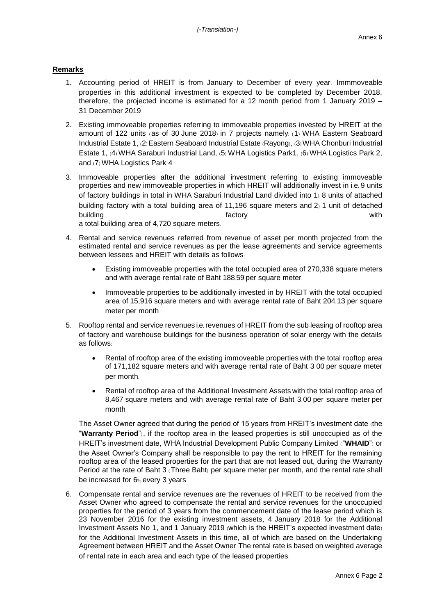## **Remarks**

- 1. Accounting period of HREIT is from January to December of every year. Immmoveable properties in this additional investment is expected to be completed by December 2018, therefore, the projected income is estimated for a 12-month period from 1 January 2019 – 31 December 2019.
- 2. Existing immoveable properties referring to immoveable properties invested by HREIT at the amount of 122 units (as of 30 June 2018) in 7 projects namely: (1) WHA Eastern Seaboard Industrial Estate 1, (2) Eastern Seaboard Industrial Estate (Rayong), (3) WHA Chonburi Industrial Estate 1, (4) WHA Saraburi Industrial Land, (5) WHA Logistics Park1, (6) WHA Logistics Park 2, and (7) WHA Logistics Park 4.
- 3. Immoveable properties after the additional investment referring to existing immoveable properties and new immoveable properties in which HREIT will additionally invest in i.e. 9 units of factory buildings in total in WHA Saraburi Industrial Land divided into 1) 8 units of attached building factory with a total building area of 11,196 square meters and 2) 1 unit of detached building with the control of the factory the control of the control of the control of the control of the control of the control of the control of the control of the control of the control of the control of the control of t a total building area of 4,720 square meters.
- 4. Rental and service revenues referred from revenue of asset per month projected from the estimated rental and service revenues as per the lease agreements and service agreements between lessees and HREIT with details as follows:
	- Existing immoveable properties with the total occupied area of 270,338 square meters and with average rental rate of Baht 188.59 per square meter.
	- Immoveable properties to be additionally invested in by HREIT with the total occupied area of 15,916 square meters and with average rental rate of Baht 204.13 per square meter per month.
- 5. Rooftop rental and service revenues i.e. revenues of HREIT from the sub-leasing of rooftop area of factory and warehouse buildings for the business operation of solar energy with the details as follows:
	- Rental of rooftop area of the existing immoveable properties with the total rooftop area of 171,182 square meters and with average rental rate of Baht 3.00 per square meter per month.
	- Rental of rooftop area of the Additional Investment Assets with the total rooftop area of 8,467 square meters and with average rental rate of Baht 3.00 per square meter per month.

The Asset Owner agreed that during the period of 15 years from HREIT's investment date (the "**Warranty Period**"), if the rooftop area in the leased properties is still unoccupied as of the HREIT's investment date, WHA Industrial Development Public Company Limited ("**WHAID**") or the Asset Owner's Company shall be responsible to pay the rent to HREIT for the remaining rooftop area of the leased properties for the part that are not leased out, during the Warranty Period at the rate of Baht 3 (Three Baht) per square meter per month, and the rental rate shall be increased for 6% every 3 years.

6. Compensate rental and service revenues are the revenues of HREIT to be received from the Asset Owner who agreed to compensate the rental and service revenues for the unoccupied properties for the period of 3 years from the commencement date of the lease period which is 23 November 2016 for the existing investment assets, 4 January 2018 for the Additional Investment Assets No. 1, and 1 January 2019 (which is the HREIT's expected investment date) for the Additional Investment Assets in this time, all of which are based on the Undertaking Agreement between HREIT and the Asset Owner. The rental rate is based on weighted average of rental rate in each area and each type of the leased properties.